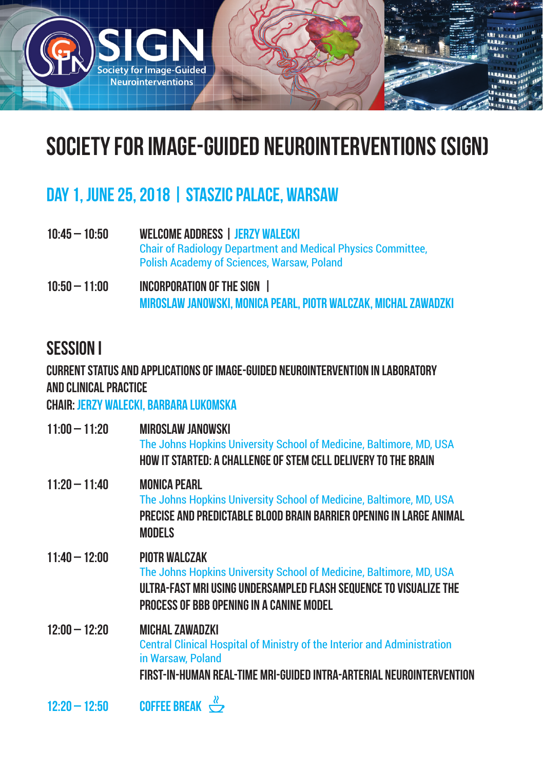

# Society for Image-Guided Neurointerventions (SIGN)

## Day 1, June 25, 2018 | staszic palace, Warsaw

- 10:45 10:50 Welcome Address | Jerzy Walecki Chair of Radiology Department and Medical Physics Committee, Polish Academy of Sciences, Warsaw, Poland
- 10:50 11:00 Incorporation of the SIGN | Miroslaw Janowski, Monica Pearl, Piotr Walczak, Michal Zawadzki

### Session I

### CURRENT STATUS AND APPLICATIONS OF IMAGE-GUIDED NEUROINTERVENTION IN LABORATORY AND clinical PRACTICE

#### Chair: Jerzy Walecki, Barbara Lukomska

| $11:00 - 11:20$ | <b>MIROSLAW JANOWSKI</b><br>The Johns Hopkins University School of Medicine, Baltimore, MD, USA<br>HOW IT STARTED: A CHALLENGE OF STEM CELL DELIVERY TO THE BRAIN                                            |
|-----------------|--------------------------------------------------------------------------------------------------------------------------------------------------------------------------------------------------------------|
| $11:20 - 11:40$ | <b>MONICA PEARL</b><br>The Johns Hopkins University School of Medicine, Baltimore, MD, USA<br>PRECISE AND PREDICTABLE BLOOD BRAIN BARRIER OPENING IN LARGE ANIMAL<br><b>MODELS</b>                           |
| $11:40 - 12:00$ | <b>PIOTR WALCZAK</b><br>The Johns Hopkins University School of Medicine, Baltimore, MD, USA<br>ULTRA-FAST MRI USING UNDERSAMPLED FLASH SEQUENCE TO VISUALIZE THE<br>PROCESS OF BBB OPENING IN A CANINE MODEL |
| $12:00 - 12:20$ | <b>MICHAL ZAWADZKI</b><br><b>Central Clinical Hospital of Ministry of the Interior and Administration</b><br>in Warsaw, Poland<br>FIRST-IN-HUMAN REAL-TIME MRI-GUIDED INTRA-ARTERIAL NEUROINTERVENTION       |
| $12:20 - 12:50$ | <b>COFFEE BREAK</b> $\overset{R}{\hookrightarrow}$                                                                                                                                                           |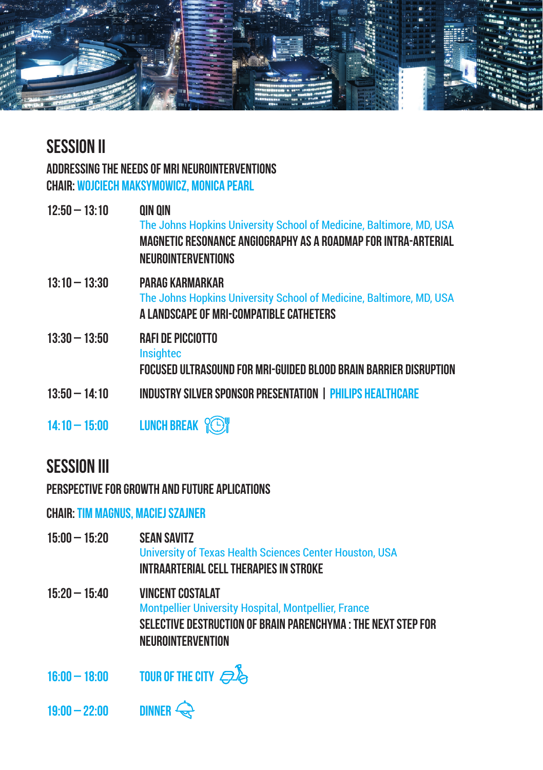

## SESSION II

ADDRESSING THE NEEDS OF MRI NEUROINTERVENTIONS Chair: Wojciech Maksymowicz, Monica Pearl

| $12:50 - 13:10$ | QIN QIN<br>The Johns Hopkins University School of Medicine, Baltimore, MD, USA<br>MAGNETIC RESONANCE ANGIOGRAPHY AS A ROADMAP FOR INTRA-ARTERIAL<br><b>NEUROINTERVENTIONS</b> |
|-----------------|-------------------------------------------------------------------------------------------------------------------------------------------------------------------------------|
| $13:10 - 13:30$ | PARAG KARMARKAR<br>The Johns Hopkins University School of Medicine, Baltimore, MD, USA<br>A LANDSCAPE OF MRI-COMPATIBLE CATHETERS                                             |
| $13:30 - 13:50$ | <b>RAFI DE PICCIOTTO</b><br><b>Insighted</b><br>FOCUSED ULTRASOUND FOR MRI-GUIDED BLOOD BRAIN BARRIER DISRUPTION                                                              |
| $13:50 - 14:10$ | <b>INDUSTRY SILVER SPONSOR PRESENTATION   PHILIPS HEALTHCARE</b>                                                                                                              |
| $14:10 - 15:00$ | <b>LUNCH BREAK ? BY</b>                                                                                                                                                       |

# **SESSION III**

PERSPECTIVE FOR GROWTH AND FUTURE APLICATIONS

Chair: Tim Magnus, Maciej Szajner

| $15:00 - 15:20$ | <b>SEAN SAVITZ</b><br>University of Texas Health Sciences Center Houston, USA<br>INTRAARTERIAL CELL THERAPIES IN STROKE                                               |
|-----------------|-----------------------------------------------------------------------------------------------------------------------------------------------------------------------|
| $15:20 - 15:40$ | <b>VINCENT COSTALAT</b><br>Montpellier University Hospital, Montpellier, France<br>SELECTIVE DESTRUCTION OF BRAIN PARENCHYMA : THE NEXT STEP FOR<br>NEUROINTERVENTION |
|                 |                                                                                                                                                                       |

16:00 – 18:00 TOUR OF THE CITY  $\mathcal{D}$ 

19:00 – 22:00 DINNER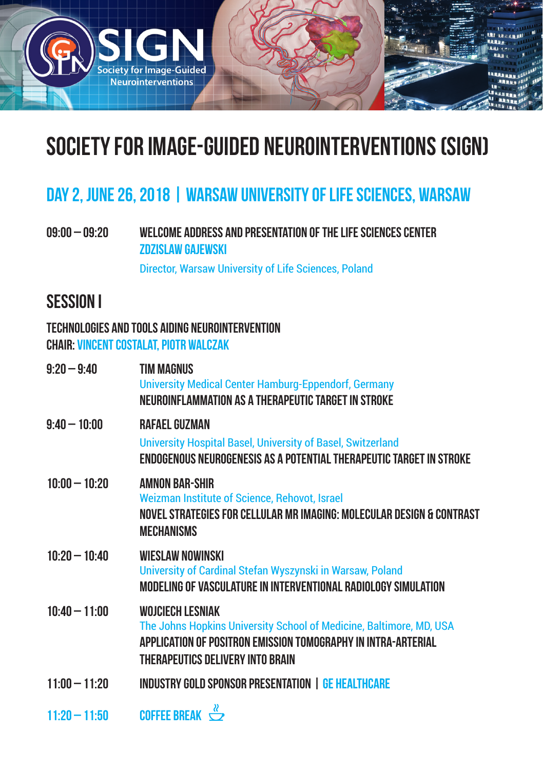

# Society for Image-Guided Neurointerventions (SIGN)

## DAY 2, JUNE 26, 2018 | WARSAW UNIVERSITY OF LIFE SCIENCES, WARSAW

09:00 – 09:20 Welcome Address and presentation of the Life Sciences Center Zdzislaw Gajewski

Director, Warsaw University of Life Sciences, Poland

### Session I

### TECHNOLOGIES AND TOOLS AIDING NEUROINTERVENTION Chair: Vincent Costalat, Piotr Walczak

| $9:20 - 9:40$   | <b>TIM MAGNUS</b><br><b>University Medical Center Hamburg-Eppendorf, Germany</b><br>NEUROINFLAMMATION AS A THERAPEUTIC TARGET IN STROKE                                                             |
|-----------------|-----------------------------------------------------------------------------------------------------------------------------------------------------------------------------------------------------|
| $9:40 - 10:00$  | <b>RAFAEL GUZMAN</b><br>University Hospital Basel, University of Basel, Switzerland<br>ENDOGENOUS NEUROGENESIS AS A POTENTIAL THERAPEUTIC TARGET IN STROKE                                          |
| $10:00 - 10:20$ | AMNON BAR-SHIR<br>Weizman Institute of Science, Rehovot, Israel<br>NOVEL STRATEGIES FOR CELLULAR MR IMAGING: MOLECULAR DESIGN & CONTRAST<br><b>MECHANISMS</b>                                       |
| $10:20 - 10:40$ | WIESLAW NOWINSKI<br>University of Cardinal Stefan Wyszynski in Warsaw, Poland<br>MODELING OF VASCULATURE IN INTERVENTIONAL RADIOLOGY SIMULATION                                                     |
| $10:40 - 11:00$ | <b>WOJCIECH LESNIAK</b><br>The Johns Hopkins University School of Medicine, Baltimore, MD, USA<br>APPLICATION OF POSITRON EMISSION TOMOGRAPHY IN INTRA-ARTERIAL<br>THERAPEUTICS DELIVERY INTO BRAIN |
| $11:00 - 11:20$ | <b>INDUSTRY GOLD SPONSOR PRESENTATION   GE HEALTHCARE</b>                                                                                                                                           |
| $11:20 - 11:50$ | <b>COFFEE BREAK</b> $\overset{\alpha}{\smile}$                                                                                                                                                      |